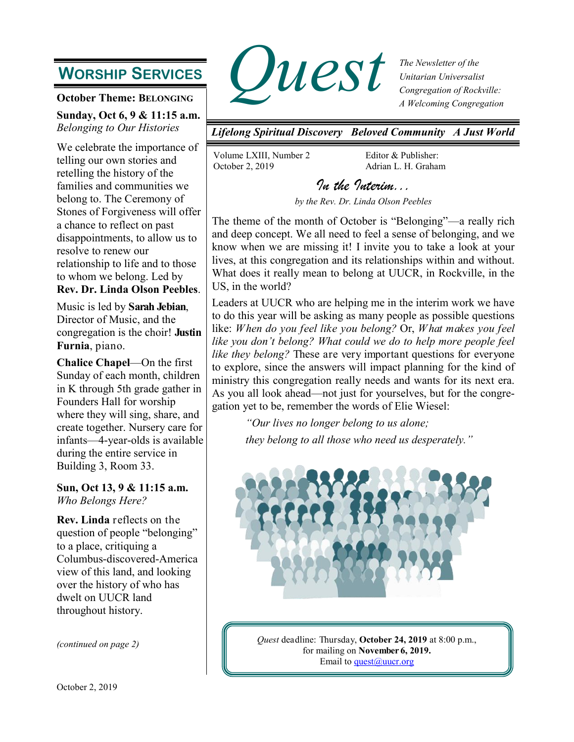# **WORSHIP SERVICES**

**October Theme: BELONGING Sunday, Oct 6, 9 & 11:15 a.m.** *Belonging to Our Histories*

We celebrate the importance of telling our own stories and retelling the history of the families and communities we belong to. The Ceremony of Stones of Forgiveness will offer a chance to reflect on past disappointments, to allow us to resolve to renew our relationship to life and to those to whom we belong. Led by **Rev. Dr. Linda Olson Peebles**.

Music is led by **Sarah Jebian**, Director of Music, and the congregation is the choir! **Justin Furnia**, piano.

**Chalice Chapel**—On the first Sunday of each month, children in K through 5th grade gather in Founders Hall for worship where they will sing, share, and create together. Nursery care for infants—4-year-olds is available during the entire service in Building 3, Room 33.

### **Sun, Oct 13, 9 & 11:15 a.m.** *Who Belongs Here?*

**Rev. Linda** reflects on the question of people "belonging" to a place, critiquing a Columbus-discovered-America view of this land, and looking over the history of who has dwelt on UUCR land throughout history.



*The Newsletter of the Unitarian Universalist Congregation of Rockville: A Welcoming Congregation*

*Lifelong Spiritual Discovery Beloved Community A Just World*

Volume LXIII, Number 2 October 2, 2019

Editor & Publisher: Adrian L. H. Graham

*In the Interim...* 

*by the Rev. Dr. Linda Olson Peebles* 

The theme of the month of October is "Belonging"—a really rich and deep concept. We all need to feel a sense of belonging, and we know when we are missing it! I invite you to take a look at your lives, at this congregation and its relationships within and without. What does it really mean to belong at UUCR, in Rockville, in the US, in the world?

Leaders at UUCR who are helping me in the interim work we have to do this year will be asking as many people as possible questions like: *When do you feel like you belong?* Or, *What makes you feel like you don't belong? What could we do to help more people feel like they belong?* These are very important questions for everyone to explore, since the answers will impact planning for the kind of ministry this congregation really needs and wants for its next era. As you all look ahead—not just for yourselves, but for the congregation yet to be, remember the words of Elie Wiesel:

> *"Our lives no longer belong to us alone; they belong to all those who need us desperately."*



*(continued on page 2) Quest* deadline: Thursday, **October 24, 2019** at 8:00 p.m., for mailing on **November 6, 2019.** Email to [quest@uucr.org](mailto:quest@uucr.org?subject=re:%20September%20Quest%20submission)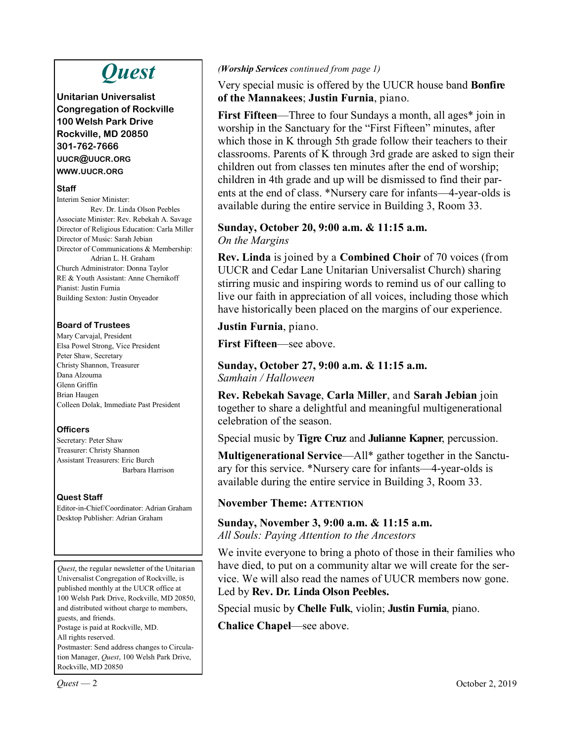# *Quest*

**Unitarian Universalist Congregation of Rockville 100 Welsh Park Drive Rockville, MD 20850 301-762-7666 UUCR@UUCR.ORG WWW.UUCR.ORG**

#### **Staff**

Interim Senior Minister: Rev. Dr. Linda Olson Peebles Associate Minister: Rev. Rebekah A. Savage Director of Religious Education: Carla Miller Director of Music: Sarah Jebian Director of Communications & Membership: Adrian L. H. Graham Church Administrator: Donna Taylor RE & Youth Assistant: Anne Chernikoff Pianist: Justin Furnia Building Sexton: Justin Onyeador

#### **Board of Trustees**

Mary Carvajal, President Elsa Powel Strong, Vice President Peter Shaw, Secretary Christy Shannon, Treasurer Dana Alzouma Glenn Griffin Brian Haugen Colleen Dolak, Immediate Past President

### **Officers**

Secretary: Peter Shaw Treasurer: Christy Shannon Assistant Treasurers: Eric Burch Barbara Harrison

#### **Quest Staff**

Editor-in-Chief/Coordinator: Adrian Graham Desktop Publisher: Adrian Graham

*Quest*, the regular newsletter of the Unitarian Universalist Congregation of Rockville, is published monthly at the UUCR office at 100 Welsh Park Drive, Rockville, MD 20850, and distributed without charge to members, guests, and friends. Postage is paid at Rockville, MD. All rights reserved. Postmaster: Send address changes to Circulation Manager, *Quest*, 100 Welsh Park Drive,

Rockville, MD 20850

#### *(Worship Services continued from page 1)*

Very special music is offered by the UUCR house band **Bonfire of the Mannakees**; **Justin Furnia**, piano.

**First Fifteen—Three to four Sundays a month, all ages<sup>\*</sup> join in** worship in the Sanctuary for the "First Fifteen" minutes, after which those in K through 5th grade follow their teachers to their classrooms. Parents of K through 3rd grade are asked to sign their children out from classes ten minutes after the end of worship; children in 4th grade and up will be dismissed to find their parents at the end of class. \*Nursery care for infants—4-year-olds is available during the entire service in Building 3, Room 33.

## **Sunday, October 20, 9:00 a.m. & 11:15 a.m.**

*On the Margins*

**Rev. Linda** is joined by a **Combined Choir** of 70 voices (from UUCR and Cedar Lane Unitarian Universalist Church) sharing stirring music and inspiring words to remind us of our calling to live our faith in appreciation of all voices, including those which have historically been placed on the margins of our experience.

### **Justin Furnia**, piano.

**First Fifteen**—see above.

### **Sunday, October 27, 9:00 a.m. & 11:15 a.m.** *Samhain / Halloween*

**Rev. Rebekah Savage**, **Carla Miller**, and **Sarah Jebian** join together to share a delightful and meaningful multigenerational celebration of the season.

Special music by **Tigre Cruz** and **Julianne Kapner**, percussion.

**Multigenerational Service**—All\* gather together in the Sanctuary for this service. \*Nursery care for infants—4-year-olds is available during the entire service in Building 3, Room 33.

### **November Theme: ATTENTION**

### **Sunday, November 3, 9:00 a.m. & 11:15 a.m.** *All Souls: Paying Attention to the Ancestors*

We invite everyone to bring a photo of those in their families who have died, to put on a community altar we will create for the service. We will also read the names of UUCR members now gone. Led by **Rev. Dr. Linda Olson Peebles.**

Special music by **Chelle Fulk**, violin; **Justin Furnia**, piano.

**Chalice Chapel**—see above.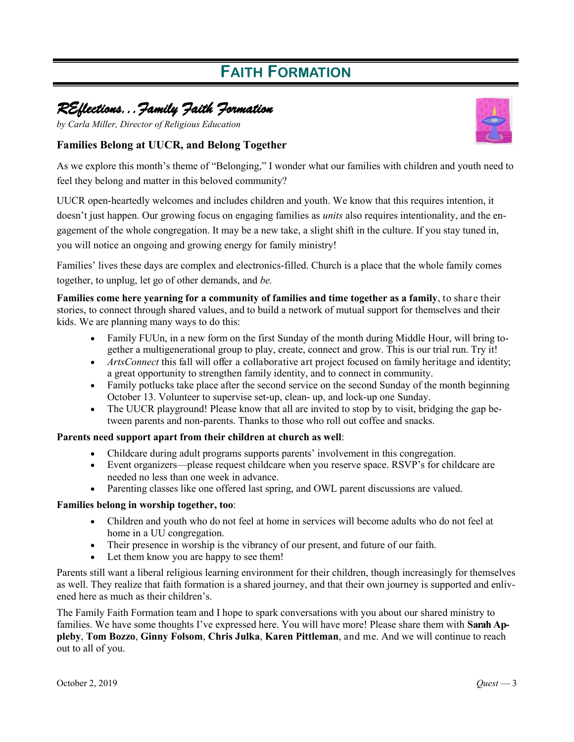# **FAITH FORMATION**

## *REflections...Family Faith Formation*

*by Carla Miller, Director of Religious Education*

### **Families Belong at UUCR, and Belong Together**



As we explore this month's theme of "Belonging," I wonder what our families with children and youth need to feel they belong and matter in this beloved community?

UUCR open-heartedly welcomes and includes children and youth. We know that this requires intention, it doesn't just happen. Our growing focus on engaging families as *units* also requires intentionality, and the engagement of the whole congregation. It may be a new take, a slight shift in the culture. If you stay tuned in, you will notice an ongoing and growing energy for family ministry!

Families' lives these days are complex and electronics-filled. Church is a place that the whole family comes together, to unplug, let go of other demands, and *be.* 

**Families come here yearning for a community of families and time together as a family**, to share their stories, to connect through shared values, and to build a network of mutual support for themselves and their kids. We are planning many ways to do this:

- Family FUUn, in a new form on the first Sunday of the month during Middle Hour, will bring together a multigenerational group to play, create, connect and grow. This is our trial run. Try it!
- *ArtsConnect* this fall will offer a collaborative art project focused on family heritage and identity; a great opportunity to strengthen family identity, and to connect in community.
- Family potlucks take place after the second service on the second Sunday of the month beginning October 13. Volunteer to supervise set-up, clean- up, and lock-up one Sunday.
- The UUCR playground! Please know that all are invited to stop by to visit, bridging the gap between parents and non-parents. Thanks to those who roll out coffee and snacks.

### **Parents need support apart from their children at church as well**:

- Childcare during adult programs supports parents' involvement in this congregation.
- Event organizers—please request childcare when you reserve space. RSVP's for childcare are needed no less than one week in advance.
- Parenting classes like one offered last spring, and OWL parent discussions are valued.

### **Families belong in worship together, too**:

- Children and youth who do not feel at home in services will become adults who do not feel at home in a UU congregation.
- Their presence in worship is the vibrancy of our present, and future of our faith.
- Let them know you are happy to see them!

Parents still want a liberal religious learning environment for their children, though increasingly for themselves as well. They realize that faith formation is a shared journey, and that their own journey is supported and enlivened here as much as their children's.

The Family Faith Formation team and I hope to spark conversations with you about our shared ministry to families. We have some thoughts I've expressed here. You will have more! Please share them with **Sarah Appleby**, **Tom Bozzo**, **Ginny Folsom**, **Chris Julka**, **Karen Pittleman**, and me. And we will continue to reach out to all of you.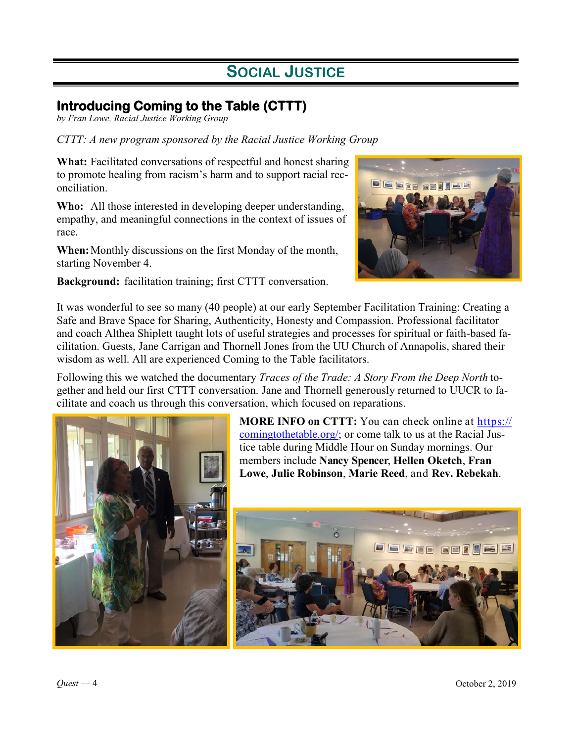# **SOCIAL JUSTICE**

## **Introducing Coming to the Table (CTTT)**

*by Fran Lowe, Racial Justice Working Group*

*CTTT: A new program sponsored by the Racial Justice Working Group*

**What:** Facilitated conversations of respectful and honest sharing to promote healing from racism's harm and to support racial reconciliation.

**Who:** All those interested in developing deeper understanding, empathy, and meaningful connections in the context of issues of race.

**When:**Monthly discussions on the first Monday of the month, starting November 4.

**Background:** facilitation training; first CTTT conversation.



It was wonderful to see so many (40 people) at our early September Facilitation Training: Creating a Safe and Brave Space for Sharing, Authenticity, Honesty and Compassion. Professional facilitator and coach Althea Shiplett taught lots of useful strategies and processes for spiritual or faith-based facilitation. Guests, Jane Carrigan and Thornell Jones from the UU Church of Annapolis, shared their wisdom as well. All are experienced Coming to the Table facilitators.

Following this we watched the documentary *Traces of the Trade: A Story From the Deep North* together and held our first CTTT conversation. Jane and Thornell generously returned to UUCR to facilitate and coach us through this conversation, which focused on reparations.



**MORE INFO on CTTT:** You can check online at [https://](https://comingtothetable.org/) [comingtothetable.org/;](https://comingtothetable.org/) or come talk to us at the Racial Justice table during Middle Hour on Sunday mornings. Our members include **Nancy Spencer**, **Hellen Oketch**, **Fran Lowe**, **Julie Robinson**, **Marie Reed**, and **Rev. Rebekah**.

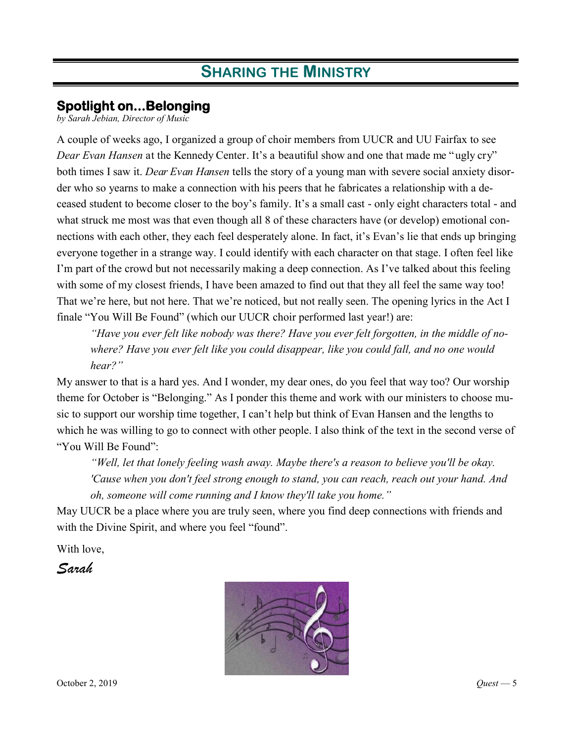### **Spotlight on...Belonging**

*by Sarah Jebian, Director of Music*

A couple of weeks ago, I organized a group of choir members from UUCR and UU Fairfax to see *Dear Evan Hansen* at the Kennedy Center. It's a beautiful show and one that made me "ugly cry" both times I saw it. *Dear Evan Hansen* tells the story of a young man with severe social anxiety disorder who so yearns to make a connection with his peers that he fabricates a relationship with a deceased student to become closer to the boy's family. It's a small cast - only eight characters total - and what struck me most was that even though all 8 of these characters have (or develop) emotional connections with each other, they each feel desperately alone. In fact, it's Evan's lie that ends up bringing everyone together in a strange way. I could identify with each character on that stage. I often feel like I'm part of the crowd but not necessarily making a deep connection. As I've talked about this feeling with some of my closest friends, I have been amazed to find out that they all feel the same way too! That we're here, but not here. That we're noticed, but not really seen. The opening lyrics in the Act I finale "You Will Be Found" (which our UUCR choir performed last year!) are:

*"Have you ever felt like nobody was there? Have you ever felt forgotten, in the middle of nowhere? Have you ever felt like you could disappear, like you could fall, and no one would hear?"*

My answer to that is a hard yes. And I wonder, my dear ones, do you feel that way too? Our worship theme for October is "Belonging." As I ponder this theme and work with our ministers to choose music to support our worship time together, I can't help but think of Evan Hansen and the lengths to which he was willing to go to connect with other people. I also think of the text in the second verse of "You Will Be Found":

*"Well, let that lonely feeling wash away. Maybe there's a reason to believe you'll be okay. 'Cause when you don't feel strong enough to stand, you can reach, reach out your hand. And oh, someone will come running and I know they'll take you home."*

May UUCR be a place where you are truly seen, where you find deep connections with friends and with the Divine Spirit, and where you feel "found".

With love,

## *Sarah*

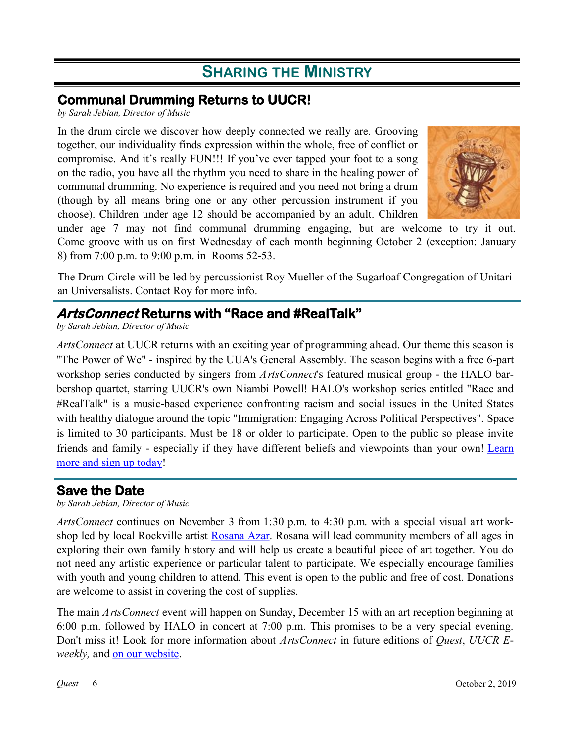## **Communal Drumming Returns to UUCR!**

*by Sarah Jebian, Director of Music*

In the drum circle we discover how deeply connected we really are. Grooving together, our individuality finds expression within the whole, free of conflict or compromise. And it's really FUN!!! If you've ever tapped your foot to a song on the radio, you have all the rhythm you need to share in the healing power of communal drumming. No experience is required and you need not bring a drum (though by all means bring one or any other percussion instrument if you choose). Children under age 12 should be accompanied by an adult. Children



under age 7 may not find communal drumming engaging, but are welcome to try it out. Come groove with us on first Wednesday of each month beginning October 2 (exception: January 8) from 7:00 p.m. to 9:00 p.m. in Rooms 52-53.

The Drum Circle will be led by percussionist Roy Mueller of the Sugarloaf Congregation of Unitarian Universalists. Contact Roy for more info.

## **ArtsConnect Returns with "Race and #RealTalk"**

*by Sarah Jebian, Director of Music*

*ArtsConnect* at UUCR returns with an exciting year of programming ahead. Our theme this season is "The Power of We" - inspired by the UUA's General Assembly. The season begins with a free 6-part workshop series conducted by singers from *ArtsConnect*'s featured musical group - the HALO barbershop quartet, starring UUCR's own Niambi Powell! HALO's workshop series entitled "Race and #RealTalk" is a music-based experience confronting racism and social issues in the United States with healthy dialogue around the topic "Immigration: Engaging Across Political Perspectives". Space is limited to 30 participants. Must be 18 or older to participate. Open to the public so please invite friends and family - especially if they have different beliefs and viewpoints than your own! Learn [more and sign up today!](https://uucrmusic.weebly.com/workshop.html)

### **Save the Date**

*by Sarah Jebian, Director of Music*

*ArtsConnect* continues on November 3 from 1:30 p.m. to 4:30 p.m. with a special visual art workshop led by local Rockville artist [Rosana Azar.](https://www.rosanaazar.com/about) Rosana will lead community members of all ages in exploring their own family history and will help us create a beautiful piece of art together. You do not need any artistic experience or particular talent to participate. We especially encourage families with youth and young children to attend. This event is open to the public and free of cost. Donations are welcome to assist in covering the cost of supplies.

The main *ArtsConnect* event will happen on Sunday, December 15 with an art reception beginning at 6:00 p.m. followed by HALO in concert at 7:00 p.m. This promises to be a very special evening. Don't miss it! Look for more information about *ArtsConnect* in future editions of *Quest*, *UUCR E*weekly, and [on our website.](https://uucrmusic.weebly.com/artsconnect.html)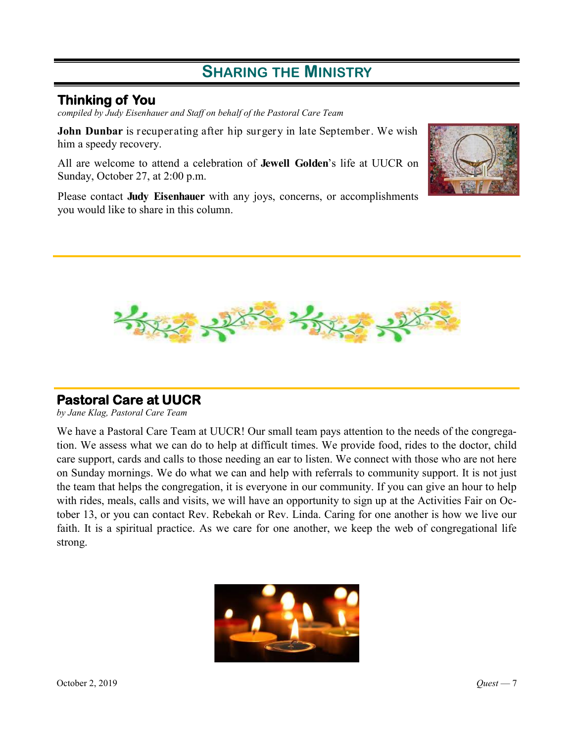## **Thinking of You**

*compiled by Judy Eisenhauer and Staff on behalf of the Pastoral Care Team*

**John Dunbar** is recuperating after hip surgery in late September. We wish him a speedy recovery.

All are welcome to attend a celebration of **Jewell Golden**'s life at UUCR on Sunday, October 27, at 2:00 p.m.



Please contact **Judy Eisenhauer** with any joys, concerns, or accomplishments you would like to share in this column.



### **Pastoral Care at UUCR**

*by Jane Klag, Pastoral Care Team*

We have a Pastoral Care Team at UUCR! Our small team pays attention to the needs of the congregation. We assess what we can do to help at difficult times. We provide food, rides to the doctor, child care support, cards and calls to those needing an ear to listen. We connect with those who are not here on Sunday mornings. We do what we can and help with referrals to community support. It is not just the team that helps the congregation, it is everyone in our community. If you can give an hour to help with rides, meals, calls and visits, we will have an opportunity to sign up at the Activities Fair on October 13, or you can contact Rev. Rebekah or Rev. Linda. Caring for one another is how we live our faith. It is a spiritual practice. As we care for one another, we keep the web of congregational life strong.

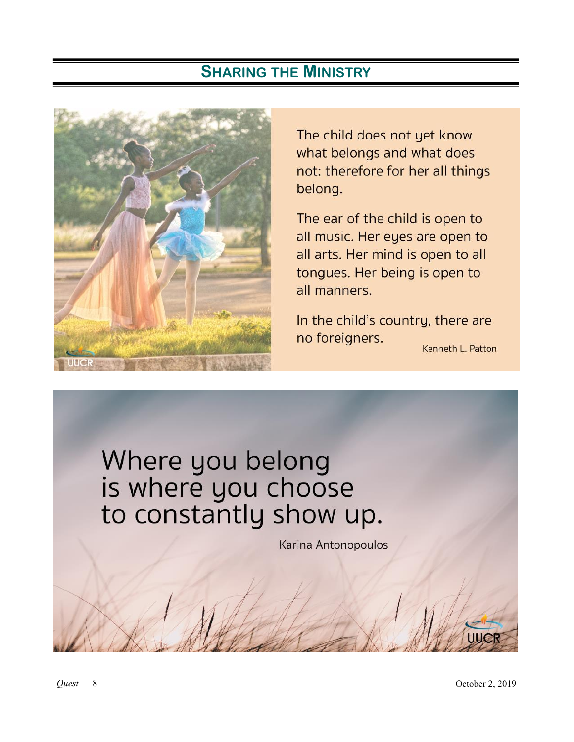

The child does not yet know what belongs and what does not: therefore for her all things belong.

The ear of the child is open to all music. Her eyes are open to all arts. Her mind is open to all tongues. Her being is open to all manners.

In the child's country, there are no foreigners.

Kenneth L. Patton

Where you belong is where you choose<br>to constantly show up.

Karina Antonopoulos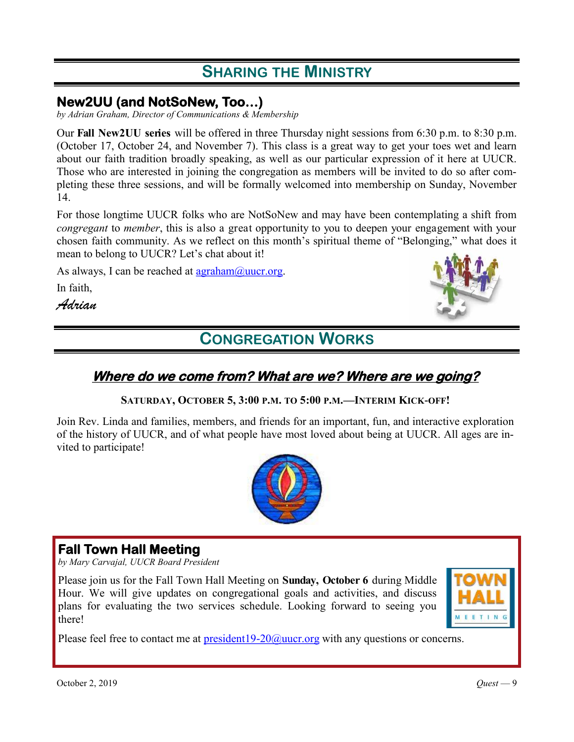## **New2UU (and NotSoNew, Too…)**

*by Adrian Graham, Director of Communications & Membership*

Our **Fall New2UU series** will be offered in three Thursday night sessions from 6:30 p.m. to 8:30 p.m. (October 17, October 24, and November 7). This class is a great way to get your toes wet and learn about our faith tradition broadly speaking, as well as our particular expression of it here at UUCR. Those who are interested in joining the congregation as members will be invited to do so after completing these three sessions, and will be formally welcomed into membership on Sunday, November 14.

For those longtime UUCR folks who are NotSoNew and may have been contemplating a shift from *congregant* to *member*, this is also a great opportunity to you to deepen your engagement with your chosen faith community. As we reflect on this month's spiritual theme of "Belonging," what does it mean to belong to UUCR? Let's chat about it!

As always, I can be reached at  $\frac{a}{\text{grapham}(a)}$  uucr.org.

In faith,

*Adrian*



# **CONGREGATION WORKS**

## **Where do we come from? What are we? Where are we going?**

**SATURDAY, OCTOBER 5, 3:00 P.M. TO 5:00 P.M.—INTERIM KICK-OFF!**

Join Rev. Linda and families, members, and friends for an important, fun, and interactive exploration of the history of UUCR, and of what people have most loved about being at UUCR. All ages are invited to participate!



## **Fall Town Hall Meeting**

*by Mary Carvajal, UUCR Board President*

Please join us for the Fall Town Hall Meeting on **Sunday, October 6** during Middle Hour. We will give updates on congregational goals and activities, and discuss plans for evaluating the two services schedule. Looking forward to seeing you there!



Please feel free to contact me at  $president19-20@uucr.org$  with any questions or concerns.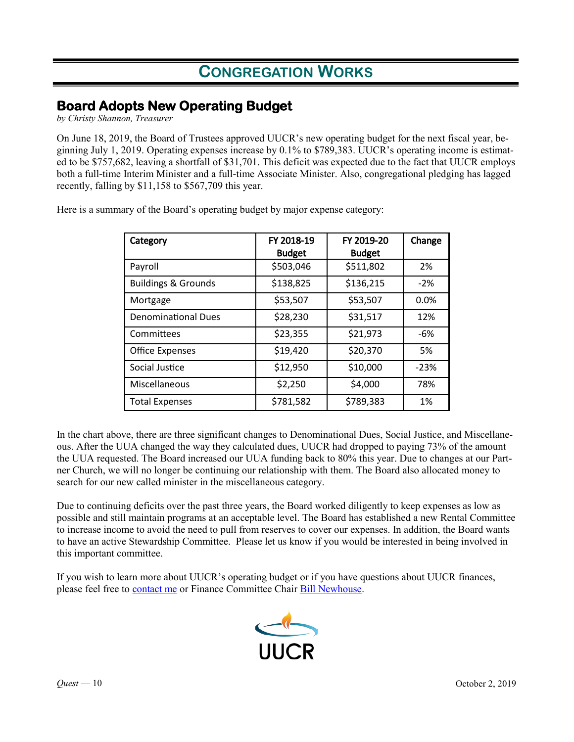# **CONGREGATION WORKS**

## **Board Adopts New Operating Budget**

*by Christy Shannon, Treasurer*

On June 18, 2019, the Board of Trustees approved UUCR's new operating budget for the next fiscal year, beginning July 1, 2019. Operating expenses increase by 0.1% to \$789,383. UUCR's operating income is estimated to be \$757,682, leaving a shortfall of \$31,701. This deficit was expected due to the fact that UUCR employs both a full-time Interim Minister and a full-time Associate Minister. Also, congregational pledging has lagged recently, falling by \$11,158 to \$567,709 this year.

| Category                       | FY 2018-19<br><b>Budget</b> | FY 2019-20<br><b>Budget</b> | Change |
|--------------------------------|-----------------------------|-----------------------------|--------|
| Payroll                        | \$503,046                   | \$511,802                   | 2%     |
| <b>Buildings &amp; Grounds</b> | \$138,825                   | \$136,215                   | $-2%$  |
| Mortgage                       | \$53,507                    | \$53,507                    | 0.0%   |
| <b>Denominational Dues</b>     | \$28,230                    | \$31,517                    | 12%    |
| Committees                     | \$23,355                    | \$21,973                    | -6%    |
| <b>Office Expenses</b>         | \$19,420                    | \$20,370                    | 5%     |
| Social Justice                 | \$12,950                    | \$10,000                    | $-23%$ |
| Miscellaneous                  | \$2,250                     | \$4,000                     | 78%    |
| <b>Total Expenses</b>          | \$781,582                   | \$789,383                   | 1%     |

Here is a summary of the Board's operating budget by major expense category:

In the chart above, there are three significant changes to Denominational Dues, Social Justice, and Miscellaneous. After the UUA changed the way they calculated dues, UUCR had dropped to paying 73% of the amount the UUA requested. The Board increased our UUA funding back to 80% this year. Due to changes at our Partner Church, we will no longer be continuing our relationship with them. The Board also allocated money to search for our new called minister in the miscellaneous category.

Due to continuing deficits over the past three years, the Board worked diligently to keep expenses as low as possible and still maintain programs at an acceptable level. The Board has established a new Rental Committee to increase income to avoid the need to pull from reserves to cover our expenses. In addition, the Board wants to have an active Stewardship Committee. Please let us know if you would be interested in being involved in this important committee.

If you wish to learn more about UUCR's operating budget or if you have questions about UUCR finances, please feel free to [contact me](mailto:treasurer17-20@uucr.org?subject=re:%20Board%20Adopts%20New%20Operating%20Budget) or Finance Committee Chair [Bill Newhouse.](mailto:financechair@uucr.org?subject=re:%20Board%20Adopts%20New%20Operating%20Budget) 

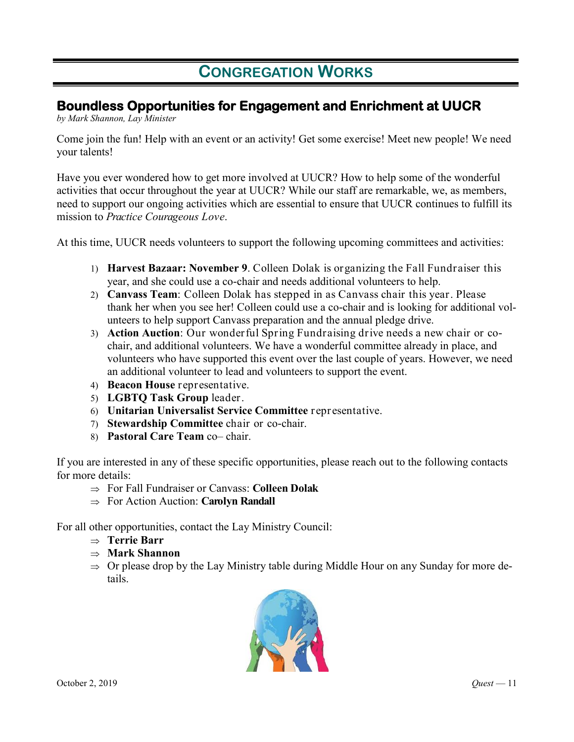# **CONGREGATION WORKS**

## **Boundless Opportunities for Engagement and Enrichment at UUCR**

*by Mark Shannon, Lay Minister*

Come join the fun! Help with an event or an activity! Get some exercise! Meet new people! We need your talents!

Have you ever wondered how to get more involved at UUCR? How to help some of the wonderful activities that occur throughout the year at UUCR? While our staff are remarkable, we, as members, need to support our ongoing activities which are essential to ensure that UUCR continues to fulfill its mission to *Practice Courageous Love*.

At this time, UUCR needs volunteers to support the following upcoming committees and activities:

- **Harvest Bazaar: November 9**. Colleen Dolak is organizing the Fall Fundraiser this year, and she could use a co-chair and needs additional volunteers to help.
- **Canvass Team**: Colleen Dolak has stepped in as Canvass chair this year. Please thank her when you see her! Colleen could use a co-chair and is looking for additional volunteers to help support Canvass preparation and the annual pledge drive.
- **Action Auction**: Our wonderful Spring Fundraising drive needs a new chair or cochair, and additional volunteers. We have a wonderful committee already in place, and volunteers who have supported this event over the last couple of years. However, we need an additional volunteer to lead and volunteers to support the event.
- **Beacon House** representative.
- **LGBTQ Task Group** leader.
- **Unitarian Universalist Service Committee** representative.
- **Stewardship Committee** chair or co-chair.
- **Pastoral Care Team** co– chair.

If you are interested in any of these specific opportunities, please reach out to the following contacts for more details:

- For Fall Fundraiser or Canvass: **Colleen Dolak**
- $\Rightarrow$  For Action Auction: **Carolyn Randall**

For all other opportunities, contact the Lay Ministry Council:

- **Terrie Barr**
- **Mark Shannon**
- $\Rightarrow$  Or please drop by the Lay Ministry table during Middle Hour on any Sunday for more details.